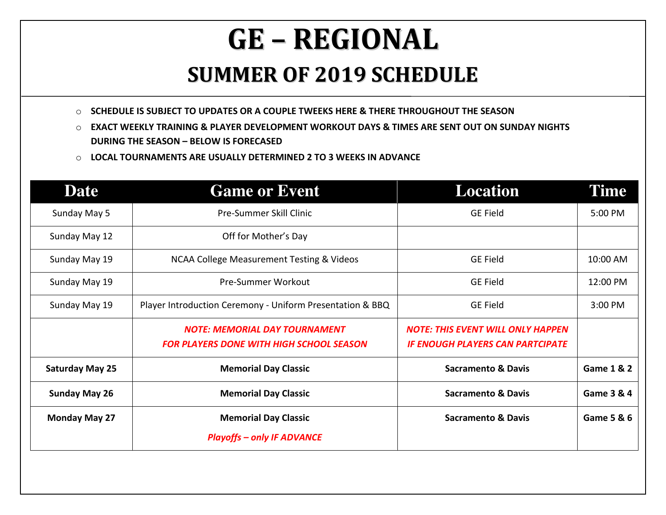## **GE – REGIONAL SUMMER OF <sup>2019</sup> SCHEDULE**

o **SCHEDULE IS SUBJECT TO UPDATES OR A COUPLE TWEEKS HERE & THERE THROUGHOUT THE SEASON** 

- o **EXACT WEEKLY TRAINING & PLAYER DEVELOPMENT WORKOUT DAYS & TIMES ARE SENT OUT ON SUNDAY NIGHTS DURING THE SEASON – BELOW IS FORECASED**
- o **LOCAL TOURNAMENTS ARE USUALLY DETERMINED 2 TO 3 WEEKS IN ADVANCE**

| <b>Date</b>            | <b>Game or Event</b>                                                                    | <b>Location</b>                                                                     | Time                  |
|------------------------|-----------------------------------------------------------------------------------------|-------------------------------------------------------------------------------------|-----------------------|
| Sunday May 5           | Pre-Summer Skill Clinic                                                                 | <b>GE Field</b>                                                                     | 5:00 PM               |
| Sunday May 12          | Off for Mother's Day                                                                    |                                                                                     |                       |
| Sunday May 19          | <b>NCAA College Measurement Testing &amp; Videos</b>                                    | <b>GE Field</b>                                                                     | 10:00 AM              |
| Sunday May 19          | Pre-Summer Workout                                                                      | <b>GE Field</b>                                                                     | 12:00 PM              |
| Sunday May 19          | Player Introduction Ceremony - Uniform Presentation & BBQ                               | <b>GE Field</b>                                                                     | 3:00 PM               |
|                        | <b>NOTE: MEMORIAL DAY TOURNAMENT</b><br><b>FOR PLAYERS DONE WITH HIGH SCHOOL SEASON</b> | <b>NOTE: THIS EVENT WILL ONLY HAPPEN</b><br><b>IF ENOUGH PLAYERS CAN PARTCIPATE</b> |                       |
| <b>Saturday May 25</b> | <b>Memorial Day Classic</b>                                                             | <b>Sacramento &amp; Davis</b>                                                       | <b>Game 1 &amp; 2</b> |
| <b>Sunday May 26</b>   | <b>Memorial Day Classic</b>                                                             | <b>Sacramento &amp; Davis</b>                                                       | Game 3 & 4            |
| <b>Monday May 27</b>   | <b>Memorial Day Classic</b><br><b>Playoffs - only IF ADVANCE</b>                        | <b>Sacramento &amp; Davis</b>                                                       | Game 5 & 6            |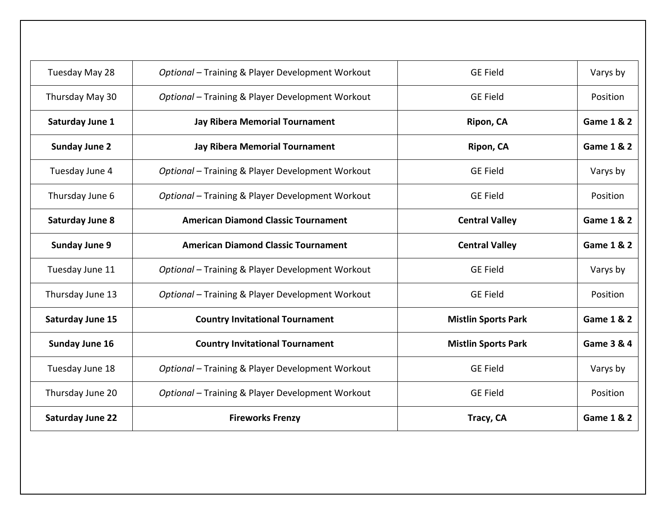| Tuesday May 28          | Optional - Training & Player Development Workout | <b>GE Field</b>            | Varys by              |
|-------------------------|--------------------------------------------------|----------------------------|-----------------------|
| Thursday May 30         | Optional - Training & Player Development Workout | <b>GE Field</b>            | Position              |
| Saturday June 1         | <b>Jay Ribera Memorial Tournament</b>            | Ripon, CA                  | <b>Game 1 &amp; 2</b> |
| <b>Sunday June 2</b>    | <b>Jay Ribera Memorial Tournament</b>            | Ripon, CA                  | <b>Game 1 &amp; 2</b> |
| Tuesday June 4          | Optional - Training & Player Development Workout | <b>GE Field</b>            | Varys by              |
| Thursday June 6         | Optional - Training & Player Development Workout | <b>GE Field</b>            | Position              |
| <b>Saturday June 8</b>  | <b>American Diamond Classic Tournament</b>       | <b>Central Valley</b>      | Game 1 & 2            |
| <b>Sunday June 9</b>    | <b>American Diamond Classic Tournament</b>       | <b>Central Valley</b>      | <b>Game 1 &amp; 2</b> |
| Tuesday June 11         | Optional - Training & Player Development Workout | <b>GE Field</b>            | Varys by              |
| Thursday June 13        | Optional - Training & Player Development Workout | <b>GE Field</b>            | Position              |
| <b>Saturday June 15</b> | <b>Country Invitational Tournament</b>           | <b>Mistlin Sports Park</b> | <b>Game 1 &amp; 2</b> |
| <b>Sunday June 16</b>   | <b>Country Invitational Tournament</b>           | <b>Mistlin Sports Park</b> | Game 3 & 4            |
| Tuesday June 18         | Optional - Training & Player Development Workout | <b>GE Field</b>            | Varys by              |
| Thursday June 20        | Optional - Training & Player Development Workout | <b>GE Field</b>            | Position              |
| <b>Saturday June 22</b> | <b>Fireworks Frenzy</b>                          | Tracy, CA                  | <b>Game 1 &amp; 2</b> |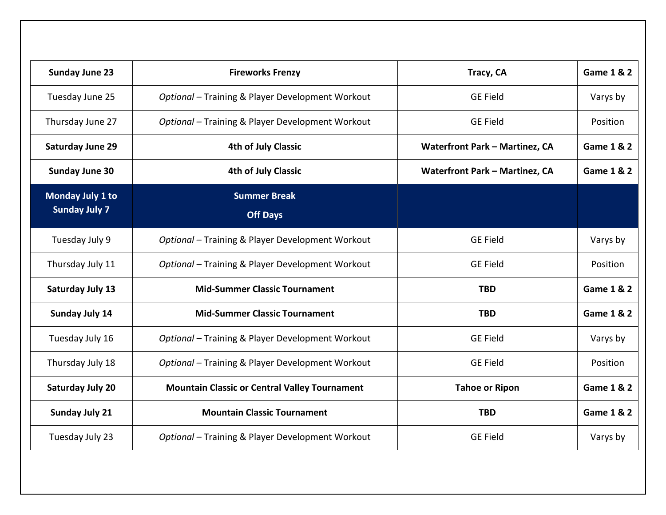| <b>Sunday June 23</b>                    | <b>Fireworks Frenzy</b>                              | Tracy, CA                             | <b>Game 1 &amp; 2</b> |
|------------------------------------------|------------------------------------------------------|---------------------------------------|-----------------------|
| Tuesday June 25                          | Optional - Training & Player Development Workout     | <b>GE Field</b>                       | Varys by              |
| Thursday June 27                         | Optional - Training & Player Development Workout     | <b>GE Field</b>                       | Position              |
| <b>Saturday June 29</b>                  | <b>4th of July Classic</b>                           | <b>Waterfront Park - Martinez, CA</b> | <b>Game 1 &amp; 2</b> |
| <b>Sunday June 30</b>                    | <b>4th of July Classic</b>                           | <b>Waterfront Park - Martinez, CA</b> | <b>Game 1 &amp; 2</b> |
| Monday July 1 to<br><b>Sunday July 7</b> | <b>Summer Break</b><br><b>Off Days</b>               |                                       |                       |
| Tuesday July 9                           | Optional - Training & Player Development Workout     | <b>GE Field</b>                       | Varys by              |
| Thursday July 11                         | Optional - Training & Player Development Workout     | <b>GE Field</b>                       | Position              |
| Saturday July 13                         | <b>Mid-Summer Classic Tournament</b>                 | <b>TBD</b>                            | <b>Game 1 &amp; 2</b> |
| Sunday July 14                           | <b>Mid-Summer Classic Tournament</b>                 | <b>TBD</b>                            | <b>Game 1 &amp; 2</b> |
| Tuesday July 16                          | Optional - Training & Player Development Workout     | <b>GE Field</b>                       | Varys by              |
| Thursday July 18                         | Optional - Training & Player Development Workout     | <b>GE Field</b>                       | Position              |
| <b>Saturday July 20</b>                  | <b>Mountain Classic or Central Valley Tournament</b> | <b>Tahoe or Ripon</b>                 | Game 1 & 2            |
| <b>Sunday July 21</b>                    | <b>Mountain Classic Tournament</b>                   | <b>TBD</b>                            | <b>Game 1 &amp; 2</b> |
| Tuesday July 23                          | Optional - Training & Player Development Workout     | <b>GE Field</b>                       | Varys by              |